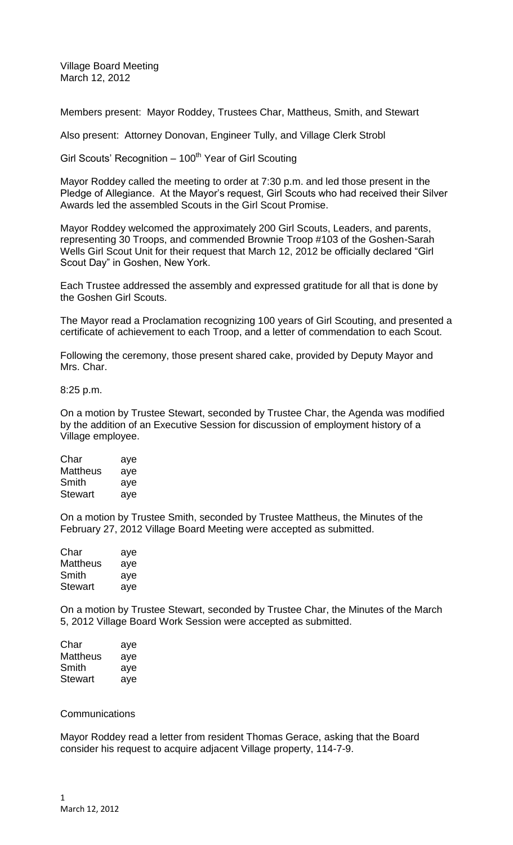Village Board Meeting March 12, 2012

Members present: Mayor Roddey, Trustees Char, Mattheus, Smith, and Stewart

Also present: Attorney Donovan, Engineer Tully, and Village Clerk Strobl

Girl Scouts' Recognition  $-100<sup>th</sup>$  Year of Girl Scouting

Mayor Roddey called the meeting to order at 7:30 p.m. and led those present in the Pledge of Allegiance. At the Mayor's request, Girl Scouts who had received their Silver Awards led the assembled Scouts in the Girl Scout Promise.

Mayor Roddey welcomed the approximately 200 Girl Scouts, Leaders, and parents, representing 30 Troops, and commended Brownie Troop #103 of the Goshen-Sarah Wells Girl Scout Unit for their request that March 12, 2012 be officially declared "Girl Scout Day" in Goshen, New York.

Each Trustee addressed the assembly and expressed gratitude for all that is done by the Goshen Girl Scouts.

The Mayor read a Proclamation recognizing 100 years of Girl Scouting, and presented a certificate of achievement to each Troop, and a letter of commendation to each Scout.

Following the ceremony, those present shared cake, provided by Deputy Mayor and Mrs. Char.

8:25 p.m.

On a motion by Trustee Stewart, seconded by Trustee Char, the Agenda was modified by the addition of an Executive Session for discussion of employment history of a Village employee.

| Char           | aye |
|----------------|-----|
| Mattheus       | aye |
| Smith          | aye |
| <b>Stewart</b> | aye |

On a motion by Trustee Smith, seconded by Trustee Mattheus, the Minutes of the February 27, 2012 Village Board Meeting were accepted as submitted.

| Char           | aye |
|----------------|-----|
| Mattheus       | aye |
| Smith          | aye |
| <b>Stewart</b> | aye |

On a motion by Trustee Stewart, seconded by Trustee Char, the Minutes of the March 5, 2012 Village Board Work Session were accepted as submitted.

| Char           | aye |
|----------------|-----|
| Mattheus       | aye |
| Smith          | aye |
| <b>Stewart</b> | aye |

## **Communications**

Mayor Roddey read a letter from resident Thomas Gerace, asking that the Board consider his request to acquire adjacent Village property, 114-7-9.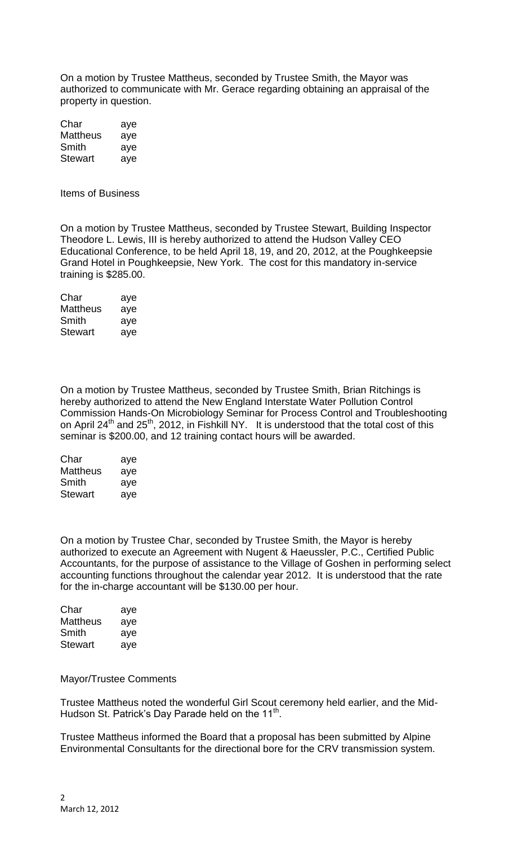On a motion by Trustee Mattheus, seconded by Trustee Smith, the Mayor was authorized to communicate with Mr. Gerace regarding obtaining an appraisal of the property in question.

| Char           | aye |
|----------------|-----|
| Mattheus       | aye |
| Smith          | aye |
| <b>Stewart</b> | aye |

Items of Business

On a motion by Trustee Mattheus, seconded by Trustee Stewart, Building Inspector Theodore L. Lewis, III is hereby authorized to attend the Hudson Valley CEO Educational Conference, to be held April 18, 19, and 20, 2012, at the Poughkeepsie Grand Hotel in Poughkeepsie, New York. The cost for this mandatory in-service training is \$285.00.

| Char           | aye |
|----------------|-----|
| Mattheus       | aye |
| Smith          | aye |
| <b>Stewart</b> | aye |

On a motion by Trustee Mattheus, seconded by Trustee Smith, Brian Ritchings is hereby authorized to attend the New England Interstate Water Pollution Control Commission Hands-On Microbiology Seminar for Process Control and Troubleshooting on April 24<sup>th</sup> and 25<sup>th</sup>, 2012, in Fishkill NY. It is understood that the total cost of this seminar is \$200.00, and 12 training contact hours will be awarded.

| Char           | aye |
|----------------|-----|
| Mattheus       | aye |
| Smith          | aye |
| <b>Stewart</b> | aye |

On a motion by Trustee Char, seconded by Trustee Smith, the Mayor is hereby authorized to execute an Agreement with Nugent & Haeussler, P.C., Certified Public Accountants, for the purpose of assistance to the Village of Goshen in performing select accounting functions throughout the calendar year 2012. It is understood that the rate for the in-charge accountant will be \$130.00 per hour.

| Char           | aye |
|----------------|-----|
| Mattheus       | aye |
| Smith          | aye |
| <b>Stewart</b> | aye |

## Mayor/Trustee Comments

Trustee Mattheus noted the wonderful Girl Scout ceremony held earlier, and the Mid-Hudson St. Patrick's Day Parade held on the 11<sup>th</sup>.

Trustee Mattheus informed the Board that a proposal has been submitted by Alpine Environmental Consultants for the directional bore for the CRV transmission system.